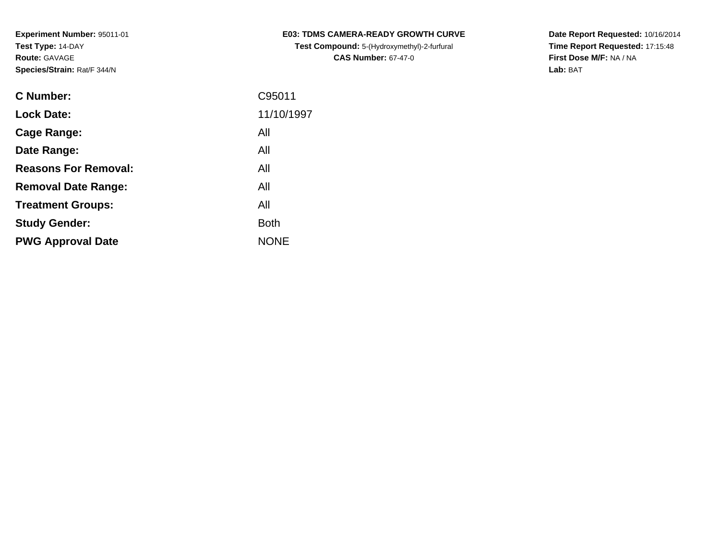| <b>C Number:</b>            | C95011      |
|-----------------------------|-------------|
| <b>Lock Date:</b>           | 11/10/1997  |
| <b>Cage Range:</b>          | All         |
| Date Range:                 | All         |
| <b>Reasons For Removal:</b> | All         |
| <b>Removal Date Range:</b>  | All         |
| <b>Treatment Groups:</b>    | All         |
| <b>Study Gender:</b>        | <b>Both</b> |
| <b>PWG Approval Date</b>    | <b>NONE</b> |
|                             |             |

**E03: TDMS CAMERA-READY GROWTH CURVETest Compound:** 5-(Hydroxymethyl)-2-furfural **CAS Number:** 67-47-0

**Date Report Requested:** 10/16/2014 **Time Report Requested:** 17:15:48**First Dose M/F:** NA / NA**Lab:** BAT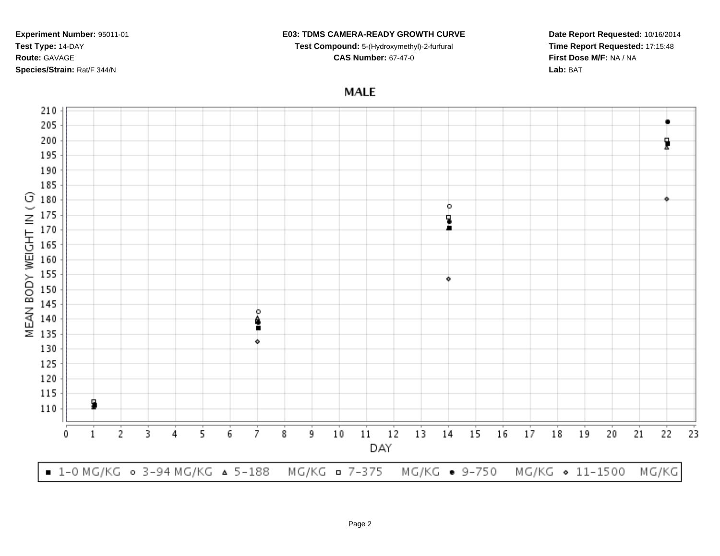### **E03: TDMS CAMERA-READY GROWTH CURVE**

**Test Compound:** 5-(Hydroxymethyl)-2-furfural **CAS Number:** 67-47-0

**Time Report Requested:** 17:15:48**First Dose M/F:** NA / NA**Lab:** BAT

**Date Report Requested:** 10/16/2014

# **MALE**



Page 2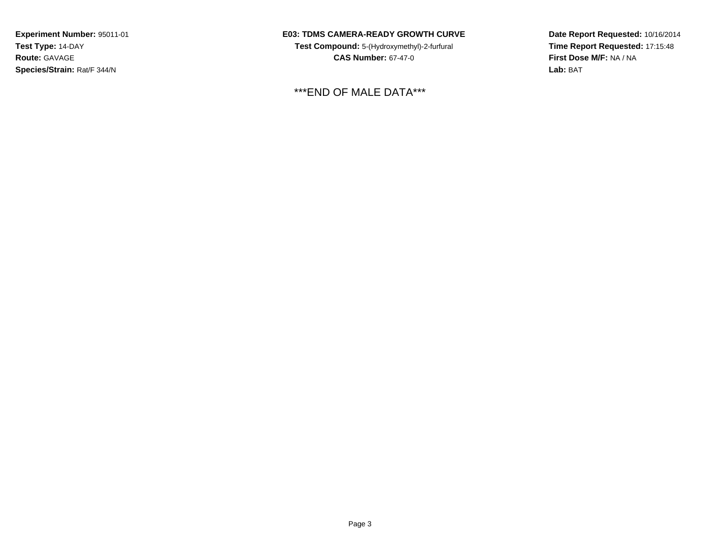# **E03: TDMS CAMERA-READY GROWTH CURVE**

**Test Compound:** 5-(Hydroxymethyl)-2-furfural **CAS Number:** 67-47-0

\*\*\*END OF MALE DATA\*\*\*

**Date Report Requested:** 10/16/2014**Time Report Requested:** 17:15:48**First Dose M/F:** NA / NA**Lab:** BAT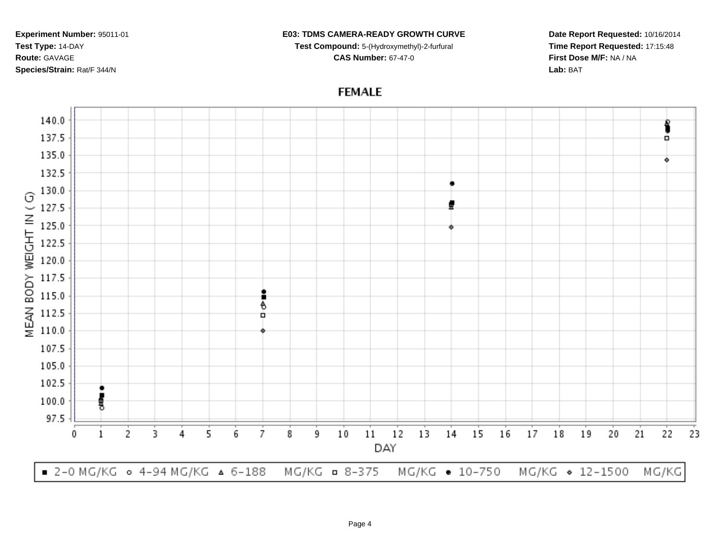### **E03: TDMS CAMERA-READY GROWTH CURVE**

**Test Compound:** 5-(Hydroxymethyl)-2-furfural **CAS Number:** 67-47-0

**Date Report Requested:** 10/16/2014**Time Report Requested:** 17:15:48**First Dose M/F:** NA / NA**Lab:** BAT



**FEMALE**